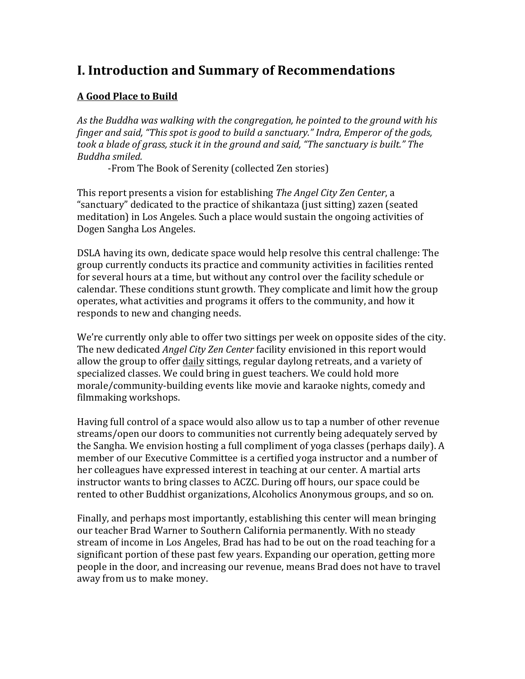## **I. Introduction and Summary of Recommendations**

#### **A Good Place to Build**

As the Buddha was walking with the congregation, he pointed to the ground with his *finger and said, "This spot is good to build a sanctuary." Indra, Emperor of the gods, took a blade of grass, stuck it in the ground and said, "The sanctuary is built." The Buddha smiled.*

-From The Book of Serenity (collected Zen stories)

This report presents a vision for establishing *The Angel City Zen Center*, a "sanctuary" dedicated to the practice of shikantaza (just sitting) zazen (seated meditation) in Los Angeles. Such a place would sustain the ongoing activities of Dogen Sangha Los Angeles.

DSLA having its own, dedicate space would help resolve this central challenge: The group currently conducts its practice and community activities in facilities rented for several hours at a time, but without any control over the facility schedule or calendar. These conditions stunt growth. They complicate and limit how the group operates, what activities and programs it offers to the community, and how it responds to new and changing needs.

We're currently only able to offer two sittings per week on opposite sides of the city. The new dedicated *Angel City Zen Center* facility envisioned in this report would allow the group to offer daily sittings, regular daylong retreats, and a variety of specialized classes. We could bring in guest teachers. We could hold more morale/community-building events like movie and karaoke nights, comedy and filmmaking workshops.

Having full control of a space would also allow us to tap a number of other revenue streams/open our doors to communities not currently being adequately served by the Sangha. We envision hosting a full compliment of yoga classes (perhaps daily). A member of our Executive Committee is a certified voga instructor and a number of her colleagues have expressed interest in teaching at our center. A martial arts instructor wants to bring classes to ACZC. During off hours, our space could be rented to other Buddhist organizations, Alcoholics Anonymous groups, and so on.

Finally, and perhaps most importantly, establishing this center will mean bringing our teacher Brad Warner to Southern California permanently. With no steady stream of income in Los Angeles, Brad has had to be out on the road teaching for a significant portion of these past few years. Expanding our operation, getting more people in the door, and increasing our revenue, means Brad does not have to travel away from us to make money.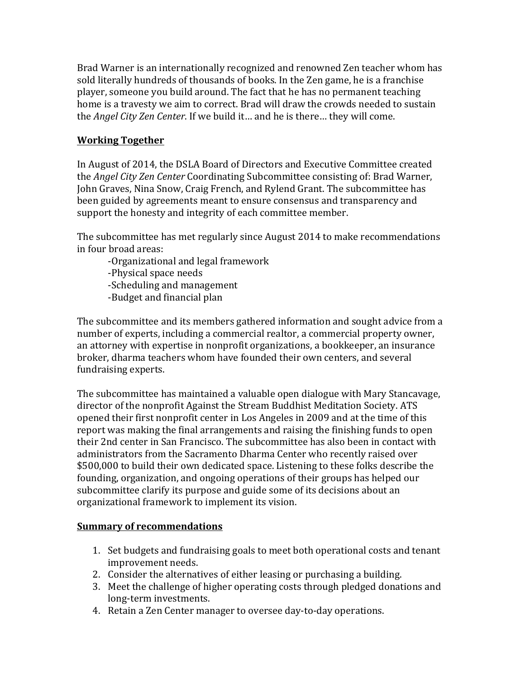Brad Warner is an internationally recognized and renowned Zen teacher whom has sold literally hundreds of thousands of books. In the Zen game, he is a franchise player, someone you build around. The fact that he has no permanent teaching home is a travesty we aim to correct. Brad will draw the crowds needed to sustain the *Angel City Zen Center*. If we build it... and he is there... they will come.

#### **Working Together**

In August of 2014, the DSLA Board of Directors and Executive Committee created the *Angel City Zen Center* Coordinating Subcommittee consisting of: Brad Warner, John Graves, Nina Snow, Craig French, and Rylend Grant. The subcommittee has been guided by agreements meant to ensure consensus and transparency and support the honesty and integrity of each committee member.

The subcommittee has met regularly since August 2014 to make recommendations in four broad areas:

-Organizational and legal framework -Physical space needs -Scheduling and management -Budget and financial plan

The subcommittee and its members gathered information and sought advice from a number of experts, including a commercial realtor, a commercial property owner, an attorney with expertise in nonprofit organizations, a bookkeeper, an insurance broker, dharma teachers whom have founded their own centers, and several fundraising experts.

The subcommittee has maintained a valuable open dialogue with Mary Stancavage, director of the nonprofit Against the Stream Buddhist Meditation Society. ATS opened their first nonprofit center in Los Angeles in 2009 and at the time of this report was making the final arrangements and raising the finishing funds to open their 2nd center in San Francisco. The subcommittee has also been in contact with administrators from the Sacramento Dharma Center who recently raised over \$500,000 to build their own dedicated space. Listening to these folks describe the founding, organization, and ongoing operations of their groups has helped our subcommittee clarify its purpose and guide some of its decisions about an organizational framework to implement its vision.

#### **Summary of recommendations**

- 1. Set budgets and fundraising goals to meet both operational costs and tenant improvement needs.
- 2. Consider the alternatives of either leasing or purchasing a building.
- 3. Meet the challenge of higher operating costs through pledged donations and long-term investments.
- 4. Retain a Zen Center manager to oversee day-to-day operations.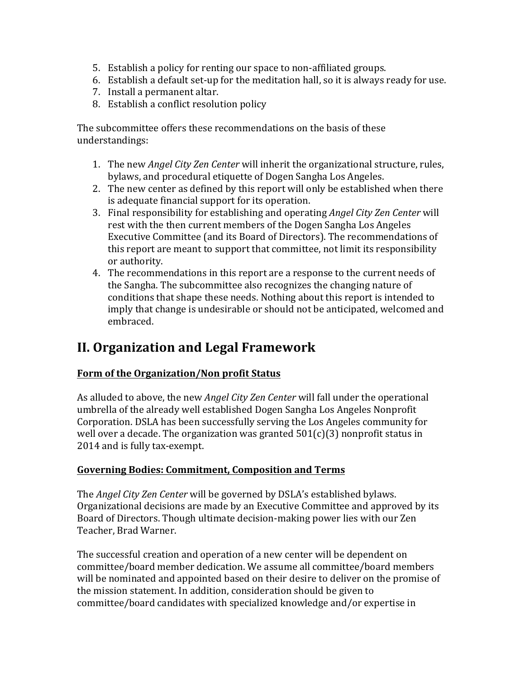- 5. Establish a policy for renting our space to non-affiliated groups.
- 6. Establish a default set-up for the meditation hall, so it is always ready for use.
- 7. Install a permanent altar.
- 8. Establish a conflict resolution policy

The subcommittee offers these recommendations on the basis of these understandings: 

- 1. The new *Angel City Zen Center* will inherit the organizational structure, rules, bylaws, and procedural etiquette of Dogen Sangha Los Angeles.
- 2. The new center as defined by this report will only be established when there is adequate financial support for its operation.
- 3. Final responsibility for establishing and operating *Angel City Zen Center* will rest with the then current members of the Dogen Sangha Los Angeles Executive Committee (and its Board of Directors). The recommendations of this report are meant to support that committee, not limit its responsibility or authority.
- 4. The recommendations in this report are a response to the current needs of the Sangha. The subcommittee also recognizes the changing nature of conditions that shape these needs. Nothing about this report is intended to imply that change is undesirable or should not be anticipated, welcomed and embraced.

# **II. Organization and Legal Framework**

## **Form of the Organization/Non profit Status**

As alluded to above, the new *Angel City Zen Center* will fall under the operational umbrella of the already well established Dogen Sangha Los Angeles Nonprofit Corporation. DSLA has been successfully serving the Los Angeles community for well over a decade. The organization was granted  $501(c)(3)$  nonprofit status in 2014 and is fully tax-exempt.

## **Governing Bodies: Commitment, Composition and Terms**

The *Angel City Zen Center* will be governed by DSLA's established bylaws. Organizational decisions are made by an Executive Committee and approved by its Board of Directors. Though ultimate decision-making power lies with our Zen Teacher, Brad Warner.

The successful creation and operation of a new center will be dependent on committee/board member dedication. We assume all committee/board members will be nominated and appointed based on their desire to deliver on the promise of the mission statement. In addition, consideration should be given to committee/board candidates with specialized knowledge and/or expertise in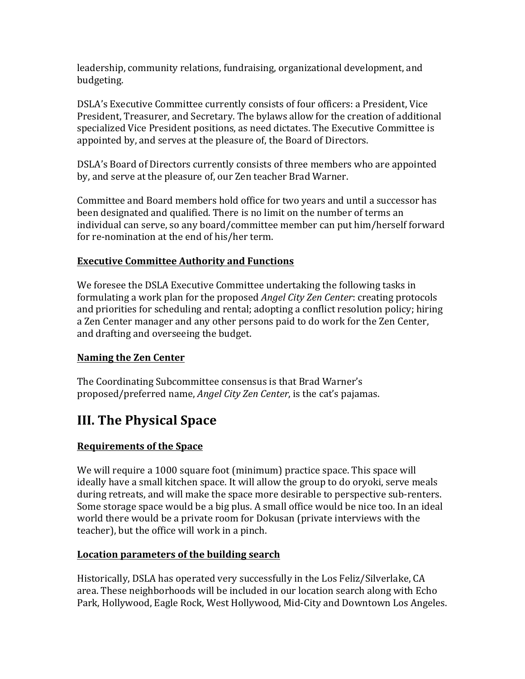leadership, community relations, fundraising, organizational development, and budgeting. 

DSLA's Executive Committee currently consists of four officers: a President, Vice President, Treasurer, and Secretary. The bylaws allow for the creation of additional specialized Vice President positions, as need dictates. The Executive Committee is appointed by, and serves at the pleasure of, the Board of Directors.

DSLA's Board of Directors currently consists of three members who are appointed by, and serve at the pleasure of, our Zen teacher Brad Warner.

Committee and Board members hold office for two years and until a successor has been designated and qualified. There is no limit on the number of terms an individual can serve, so any board/committee member can put him/herself forward for re-nomination at the end of his/her term.

### **Executive Committee Authority and Functions**

We foresee the DSLA Executive Committee undertaking the following tasks in formulating a work plan for the proposed *Angel City Zen Center*: creating protocols and priorities for scheduling and rental; adopting a conflict resolution policy; hiring a Zen Center manager and any other persons paid to do work for the Zen Center, and drafting and overseeing the budget.

#### **Naming the Zen Center**

The Coordinating Subcommittee consensus is that Brad Warner's proposed/preferred name, *Angel City Zen Center*, is the cat's pajamas.

# **III. The Physical Space**

#### **Requirements of the Space**

We will require a 1000 square foot (minimum) practice space. This space will ideally have a small kitchen space. It will allow the group to do oryoki, serve meals during retreats, and will make the space more desirable to perspective sub-renters. Some storage space would be a big plus. A small office would be nice too. In an ideal world there would be a private room for Dokusan (private interviews with the teacher), but the office will work in a pinch.

#### **Location parameters of the building search**

Historically, DSLA has operated very successfully in the Los Feliz/Silverlake, CA area. These neighborhoods will be included in our location search along with Echo Park, Hollywood, Eagle Rock, West Hollywood, Mid-City and Downtown Los Angeles.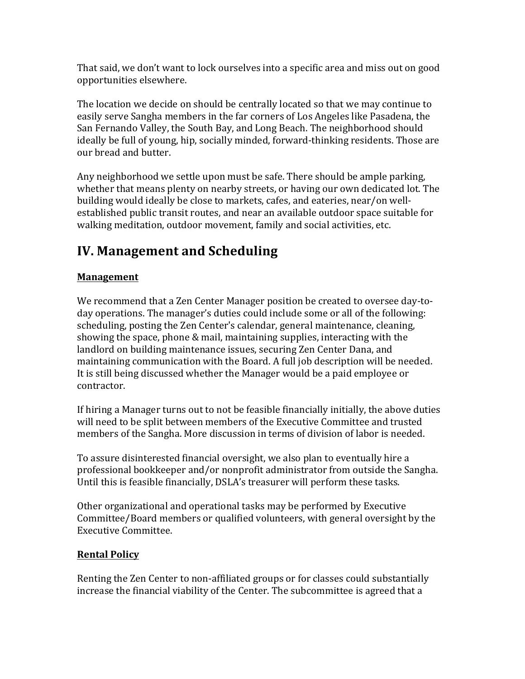That said, we don't want to lock ourselves into a specific area and miss out on good opportunities elsewhere.

The location we decide on should be centrally located so that we may continue to easily serve Sangha members in the far corners of Los Angeles like Pasadena, the San Fernando Valley, the South Bay, and Long Beach. The neighborhood should ideally be full of young, hip, socially minded, forward-thinking residents. Those are our bread and butter.

Any neighborhood we settle upon must be safe. There should be ample parking, whether that means plenty on nearby streets, or having our own dedicated lot. The building would ideally be close to markets, cafes, and eateries, near/on wellestablished public transit routes, and near an available outdoor space suitable for walking meditation, outdoor movement, family and social activities, etc.

# **IV. Management and Scheduling**

## **Management**

We recommend that a Zen Center Manager position be created to oversee day-today operations. The manager's duties could include some or all of the following: scheduling, posting the Zen Center's calendar, general maintenance, cleaning, showing the space, phone & mail, maintaining supplies, interacting with the landlord on building maintenance issues, securing Zen Center Dana, and maintaining communication with the Board. A full job description will be needed. It is still being discussed whether the Manager would be a paid employee or contractor.

If hiring a Manager turns out to not be feasible financially initially, the above duties will need to be split between members of the Executive Committee and trusted members of the Sangha. More discussion in terms of division of labor is needed.

To assure disinterested financial oversight, we also plan to eventually hire a professional bookkeeper and/or nonprofit administrator from outside the Sangha. Until this is feasible financially, DSLA's treasurer will perform these tasks.

Other organizational and operational tasks may be performed by Executive Committee/Board members or qualified volunteers, with general oversight by the Executive Committee.

## **Rental Policy**

Renting the Zen Center to non-affiliated groups or for classes could substantially increase the financial viability of the Center. The subcommittee is agreed that a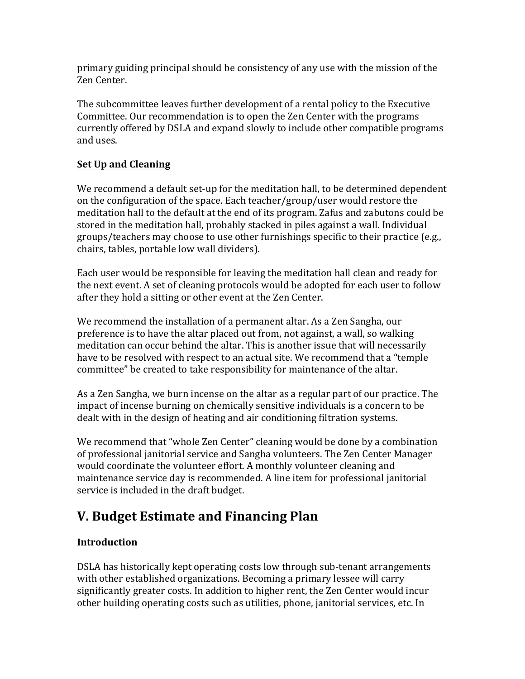primary guiding principal should be consistency of any use with the mission of the Zen Center. 

The subcommittee leaves further development of a rental policy to the Executive Committee. Our recommendation is to open the Zen Center with the programs currently offered by DSLA and expand slowly to include other compatible programs and uses.

## **<u>Set Up and Cleaning</u>**

We recommend a default set-up for the meditation hall, to be determined dependent on the configuration of the space. Each teacher/group/user would restore the meditation hall to the default at the end of its program. Zafus and zabutons could be stored in the meditation hall, probably stacked in piles against a wall. Individual groups/teachers may choose to use other furnishings specific to their practice (e.g., chairs, tables, portable low wall dividers).

Each user would be responsible for leaving the meditation hall clean and ready for the next event. A set of cleaning protocols would be adopted for each user to follow after they hold a sitting or other event at the Zen Center.

We recommend the installation of a permanent altar. As a Zen Sangha, our preference is to have the altar placed out from, not against, a wall, so walking meditation can occur behind the altar. This is another issue that will necessarily have to be resolved with respect to an actual site. We recommend that a "temple committee" be created to take responsibility for maintenance of the altar.

As a Zen Sangha, we burn incense on the altar as a regular part of our practice. The impact of incense burning on chemically sensitive individuals is a concern to be dealt with in the design of heating and air conditioning filtration systems.

We recommend that "whole Zen Center" cleaning would be done by a combination of professional janitorial service and Sangha volunteers. The Zen Center Manager would coordinate the volunteer effort. A monthly volunteer cleaning and maintenance service day is recommended. A line item for professional janitorial service is included in the draft budget.

# **V. Budget Estimate and Financing Plan**

## **Introduction**

DSLA has historically kept operating costs low through sub-tenant arrangements with other established organizations. Becoming a primary lessee will carry significantly greater costs. In addition to higher rent, the Zen Center would incur other building operating costs such as utilities, phone, janitorial services, etc. In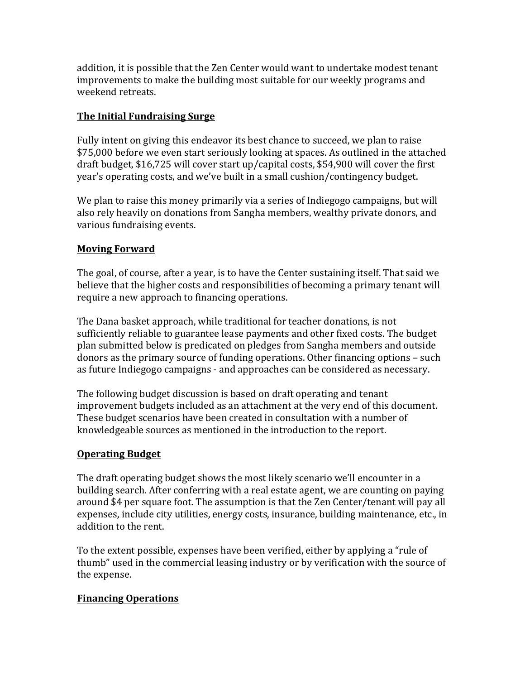addition, it is possible that the Zen Center would want to undertake modest tenant improvements to make the building most suitable for our weekly programs and weekend retreats.

#### **The Initial Fundraising Surge**

Fully intent on giving this endeavor its best chance to succeed, we plan to raise \$75,000 before we even start seriously looking at spaces. As outlined in the attached draft budget, \$16,725 will cover start up/capital costs, \$54,900 will cover the first year's operating costs, and we've built in a small cushion/contingency budget.

We plan to raise this money primarily via a series of Indiegogo campaigns, but will also rely heavily on donations from Sangha members, wealthy private donors, and various fundraising events.

#### **Moving Forward**

The goal, of course, after a year, is to have the Center sustaining itself. That said we believe that the higher costs and responsibilities of becoming a primary tenant will require a new approach to financing operations.

The Dana basket approach, while traditional for teacher donations, is not sufficiently reliable to guarantee lease payments and other fixed costs. The budget plan submitted below is predicated on pledges from Sangha members and outside donors as the primary source of funding operations. Other financing options – such as future Indiegogo campaigns - and approaches can be considered as necessary.

The following budget discussion is based on draft operating and tenant improvement budgets included as an attachment at the very end of this document. These budget scenarios have been created in consultation with a number of knowledgeable sources as mentioned in the introduction to the report.

#### **Operating Budget**

The draft operating budget shows the most likely scenario we'll encounter in a building search. After conferring with a real estate agent, we are counting on paying around \$4 per square foot. The assumption is that the Zen Center/tenant will pay all expenses, include city utilities, energy costs, insurance, building maintenance, etc., in addition to the rent.

To the extent possible, expenses have been verified, either by applying a "rule of thumb" used in the commercial leasing industry or by verification with the source of the expense.

#### **Financing Operations**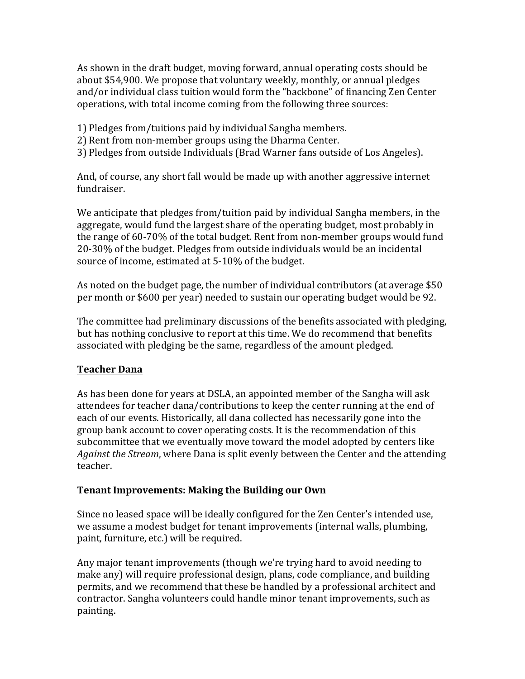As shown in the draft budget, moving forward, annual operating costs should be about \$54,900. We propose that voluntary weekly, monthly, or annual pledges and/or individual class tuition would form the "backbone" of financing Zen Center operations, with total income coming from the following three sources:

- 1) Pledges from/tuitions paid by individual Sangha members.
- 2) Rent from non-member groups using the Dharma Center.
- 3) Pledges from outside Individuals (Brad Warner fans outside of Los Angeles).

And, of course, any short fall would be made up with another aggressive internet fundraiser.

We anticipate that pledges from/tuition paid by individual Sangha members, in the aggregate, would fund the largest share of the operating budget, most probably in the range of  $60-70\%$  of the total budget. Rent from non-member groups would fund 20-30% of the budget. Pledges from outside individuals would be an incidental source of income, estimated at 5-10% of the budget.

As noted on the budget page, the number of individual contributors (at average \$50 per month or \$600 per year) needed to sustain our operating budget would be 92.

The committee had preliminary discussions of the benefits associated with pledging, but has nothing conclusive to report at this time. We do recommend that benefits associated with pledging be the same, regardless of the amount pledged.

#### **Teacher Dana**

As has been done for years at DSLA, an appointed member of the Sangha will ask attendees for teacher dana/contributions to keep the center running at the end of each of our events. Historically, all dana collected has necessarily gone into the group bank account to cover operating costs. It is the recommendation of this subcommittee that we eventually move toward the model adopted by centers like *Against the Stream*, where Dana is split evenly between the Center and the attending teacher.

#### **Tenant Improvements: Making the Building our Own**

Since no leased space will be ideally configured for the Zen Center's intended use, we assume a modest budget for tenant improvements (internal walls, plumbing, paint, furniture, etc.) will be required.

Any major tenant improvements (though we're trying hard to avoid needing to make any) will require professional design, plans, code compliance, and building permits, and we recommend that these be handled by a professional architect and contractor. Sangha volunteers could handle minor tenant improvements, such as painting.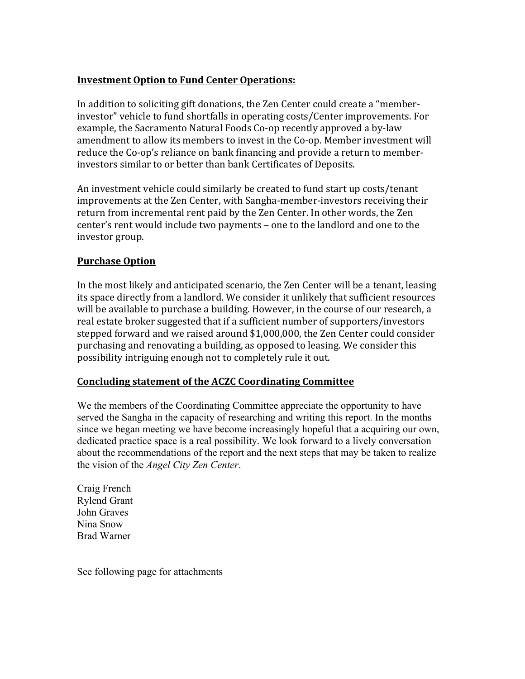#### **Investment Option to Fund Center Operations:**

In addition to soliciting gift donations, the Zen Center could create a "memberinvestor" vehicle to fund shortfalls in operating costs/Center improvements. For example, the Sacramento Natural Foods Co-op recently approved a by-law amendment to allow its members to invest in the Co-op. Member investment will reduce the Co-op's reliance on bank financing and provide a return to memberinvestors similar to or better than bank Certificates of Deposits.

An investment vehicle could similarly be created to fund start up costs/tenant improvements at the Zen Center, with Sangha-member-investors receiving their return from incremental rent paid by the Zen Center. In other words, the Zen center's rent would include two payments – one to the landlord and one to the investor group.

#### **Purchase Option**

In the most likely and anticipated scenario, the Zen Center will be a tenant, leasing its space directly from a landlord. We consider it unlikely that sufficient resources will be available to purchase a building. However, in the course of our research, a real estate broker suggested that if a sufficient number of supporters/investors stepped forward and we raised around \$1,000,000, the Zen Center could consider purchasing and renovating a building, as opposed to leasing. We consider this possibility intriguing enough not to completely rule it out.

#### **Concluding statement of the ACZC Coordinating Committee**

We the members of the Coordinating Committee appreciate the opportunity to have served the Sangha in the capacity of researching and writing this report. In the months since we began meeting we have become increasingly hopeful that a acquiring our own, dedicated practice space is a real possibility. We look forward to a lively conversation about the recommendations of the report and the next steps that may be taken to realize the vision of the *Angel City Zen Center*.

Craig French Rylend Grant John Graves Nina Snow Brad Warner

See following page for attachments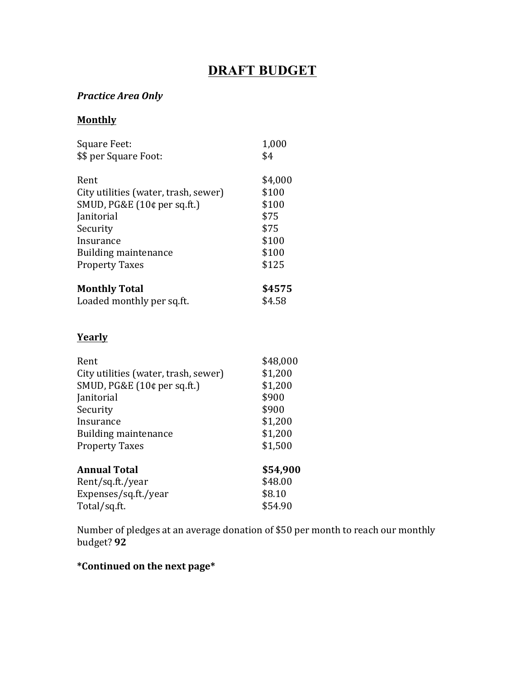## **DRAFT BUDGET**

## *Practice Area Only*

#### **Monthly**

| Square Feet:<br>\$\$ per Square Foot: | 1,000<br>\$4 |
|---------------------------------------|--------------|
|                                       |              |
| Rent                                  | \$4,000      |
| City utilities (water, trash, sewer)  | \$100        |
| SMUD, PG&E (10¢ per sq.ft.)           | \$100        |
| Janitorial                            | \$75         |
| Security                              | \$75         |
| Insurance                             | \$100        |
| Building maintenance                  | \$100        |
| <b>Property Taxes</b>                 | \$125        |
| <b>Monthly Total</b>                  | \$4575       |
| Loaded monthly per sq.ft.             | \$4.58       |

## **Yearly**

| Rent                                 | \$48,000 |
|--------------------------------------|----------|
| City utilities (water, trash, sewer) | \$1,200  |
| SMUD, PG&E (10¢ per sq.ft.)          | \$1,200  |
| Janitorial                           | \$900    |
| Security                             | \$900    |
| Insurance                            | \$1,200  |
| Building maintenance                 | \$1,200  |
| <b>Property Taxes</b>                | \$1,500  |
| <b>Annual Total</b>                  | \$54,900 |
| Rent/sq.ft./year                     | \$48.00  |
| Expenses/sq.ft./year                 | \$8.10   |
| Total/sq.ft.                         | \$54.90  |

Number of pledges at an average donation of \$50 per month to reach our monthly budget? **92**

### **\*Continued on the next page\***